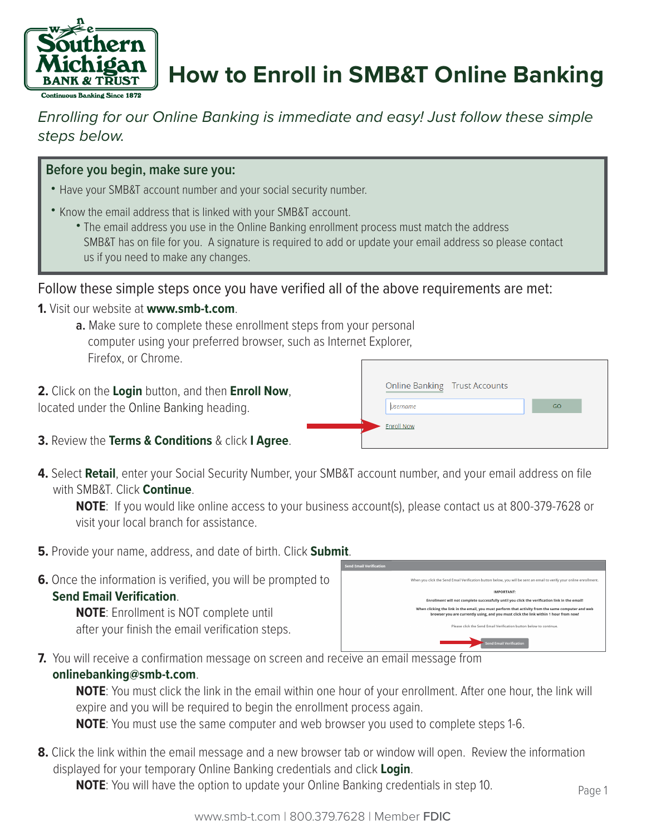

# **How to Enroll in SMB&T Online Banking**

## *Enrolling for our Online Banking is immediate and easy! Just follow these simple steps below.*

#### **Before you begin, make sure you:**

- Have your SMB&T account number and your social security number.
- Know the email address that is linked with your SMB&T account.
	- The email address you use in the Online Banking enrollment process must match the address SMB&T has on file for you. A signature is required to add or update your email address so please contact us if you need to make any changes.

#### Follow these simple steps once you have verified all of the above requirements are met:

**1.** Visit our website at **www.smb-t.com**.

**a.** Make sure to complete these enrollment steps from your personal computer using your preferred browser, such as Internet Explorer, Firefox, or Chrome.

**2.** Click on the **Login** button, and then **Enroll Now**, located under the Online Banking heading.

|                   | Online Banking Trust Accounts |    |  |
|-------------------|-------------------------------|----|--|
| <b>Username</b>   |                               | GO |  |
| <b>Enroll Now</b> |                               |    |  |
|                   |                               |    |  |

- **3.** Review the **Terms & Conditions** & click **I Agree**.
- **4.** Select **Retail**, enter your Social Security Number, your SMB&T account number, and your email address on file with SMB&T. Click **Continue**.

**NOTE**: If you would like online access to your business account(s), please contact us at 800-379-7628 or visit your local branch for assistance.

- **5.** Provide your name, address, and date of birth. Click **Submit**.
- **6.** Once the information is verified, you will be prompted to  **Send Email Verification**.

**NOTE**: Enrollment is NOT complete until after your finish the email verification steps.

| .                              |                                                                                                                                                                                            |
|--------------------------------|--------------------------------------------------------------------------------------------------------------------------------------------------------------------------------------------|
| <b>Send Email Verification</b> |                                                                                                                                                                                            |
|                                | When you click the Send Email Verification button below, you will be sent an email to verify your online enrollment.                                                                       |
|                                | IMPORTANT:                                                                                                                                                                                 |
|                                | Enrollment will not complete successfully until you click the verification link in the email!                                                                                              |
|                                | When clicking the link in the email, you must perform that activity from the same computer and web<br>browser you are currently using, and you must click the link within 1 hour from now! |
|                                | Please click the Send Email Verification button below to continue.                                                                                                                         |
|                                | <b>Send Email Verification</b>                                                                                                                                                             |

**7.** You will receive a confirmation message on screen and receive an email message from

#### **onlinebanking@smb-t.com**.

**NOTE**: You must click the link in the email within one hour of your enrollment. After one hour, the link will expire and you will be required to begin the enrollment process again.

**NOTE**: You must use the same computer and web browser you used to complete steps 1-6.

**8.** Click the link within the email message and a new browser tab or window will open. Review the information displayed for your temporary Online Banking credentials and click **Login**.

**NOTE**: You will have the option to update your Online Banking credentials in step 10.